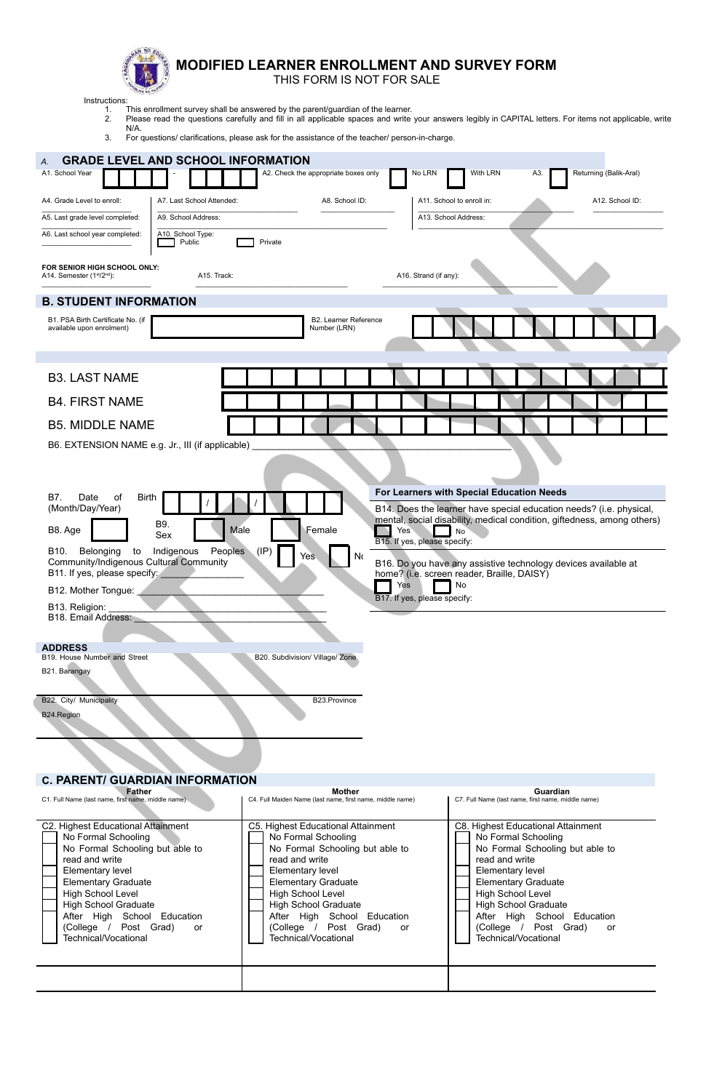

## **MODIFIED LEARNER ENROLLMENT AND SURVEY FORM**

THIS FORM IS NOT FOR SALE

Instructions:

1. This enrollment survey shall be answered by the parent/guardian of the learner.

2. Please read the questions carefully and fill in all applicable spaces and write your answers legibly in CAPITAL letters. For items not applicable, write N/A.

3. For questions/ clarifications, please ask for the assistance of the teacher/ person-in-charge.

| <b>GRADE LEVEL AND SCHOOL INFORMATION</b><br>А.<br>A1. School Year                                                                                                                                                                                                                                                                                       |                                             | A2. Check the appropriate boxes only                                                                                                                                                                                                                                                                 | No LRN                                                                           | With LRN                                                                                                                                                                                                                           | Returning (Balik-Aral)<br>ΑЗ.                                                                                                                                                                                    |
|----------------------------------------------------------------------------------------------------------------------------------------------------------------------------------------------------------------------------------------------------------------------------------------------------------------------------------------------------------|---------------------------------------------|------------------------------------------------------------------------------------------------------------------------------------------------------------------------------------------------------------------------------------------------------------------------------------------------------|----------------------------------------------------------------------------------|------------------------------------------------------------------------------------------------------------------------------------------------------------------------------------------------------------------------------------|------------------------------------------------------------------------------------------------------------------------------------------------------------------------------------------------------------------|
| A4. Grade Level to enroll:                                                                                                                                                                                                                                                                                                                               | A7. Last School Attended:                   | A8. School ID:                                                                                                                                                                                                                                                                                       |                                                                                  | A11. School to enroll in:                                                                                                                                                                                                          | A12. School ID:                                                                                                                                                                                                  |
| A5. Last grade level completed:                                                                                                                                                                                                                                                                                                                          | A9. School Address:                         |                                                                                                                                                                                                                                                                                                      |                                                                                  | A13. School Address:                                                                                                                                                                                                               |                                                                                                                                                                                                                  |
| A6. Last school year completed:                                                                                                                                                                                                                                                                                                                          | A10. School Type:<br>Public                 | Private                                                                                                                                                                                                                                                                                              |                                                                                  |                                                                                                                                                                                                                                    |                                                                                                                                                                                                                  |
| FOR SENIOR HIGH SCHOOL ONLY:<br>A14. Semester (1 <sup>st</sup> /2 <sup>nd</sup> ):                                                                                                                                                                                                                                                                       | A15. Track:                                 |                                                                                                                                                                                                                                                                                                      | A16. Strand (if any):                                                            |                                                                                                                                                                                                                                    |                                                                                                                                                                                                                  |
| <b>B. STUDENT INFORMATION</b>                                                                                                                                                                                                                                                                                                                            |                                             |                                                                                                                                                                                                                                                                                                      |                                                                                  |                                                                                                                                                                                                                                    |                                                                                                                                                                                                                  |
| B1. PSA Birth Certificate No. (if<br>available upon enrolment)                                                                                                                                                                                                                                                                                           |                                             | B2. Learner Reference<br>Number (LRN)                                                                                                                                                                                                                                                                |                                                                                  |                                                                                                                                                                                                                                    |                                                                                                                                                                                                                  |
| <b>B3. LAST NAME</b>                                                                                                                                                                                                                                                                                                                                     |                                             |                                                                                                                                                                                                                                                                                                      |                                                                                  |                                                                                                                                                                                                                                    |                                                                                                                                                                                                                  |
| <b>B4. FIRST NAME</b>                                                                                                                                                                                                                                                                                                                                    |                                             |                                                                                                                                                                                                                                                                                                      |                                                                                  |                                                                                                                                                                                                                                    |                                                                                                                                                                                                                  |
| <b>B5. MIDDLE NAME</b>                                                                                                                                                                                                                                                                                                                                   |                                             |                                                                                                                                                                                                                                                                                                      |                                                                                  |                                                                                                                                                                                                                                    |                                                                                                                                                                                                                  |
| B6. EXTENSION NAME e.g. Jr., III (if applicable)                                                                                                                                                                                                                                                                                                         |                                             |                                                                                                                                                                                                                                                                                                      |                                                                                  |                                                                                                                                                                                                                                    |                                                                                                                                                                                                                  |
| B7.<br>Date<br>οf<br>Birth<br>(Month/Day/Year)<br>B8. Age<br>B10.<br>Belonging<br>to<br>Community/Indigenous Cultural Community<br>B11. If yes, please specify:<br>B12. Mother Tongue:<br>B <sub>13</sub> . Religion:<br>B18. Email Address:<br><b>ADDRESS</b><br>B19. House Number and Street<br>B21. Barangay<br>B22. City/ Municipality<br>B24.Region | B9.<br>Male<br>Sex<br>Indigenous<br>Peoples | Female<br>(IP)<br>Yes<br>B20. Subdivision/ Village/ Zone<br>B23.Province                                                                                                                                                                                                                             | Yes<br>B15. If yes, please specify:<br>No<br>Yes<br>B17. If yes, please specify: | For Learners with Special Education Needs<br><b>No</b><br>home? (i.e. screen reader, Braille, DAISY)<br>No                                                                                                                         | B14. Does the learner have special education needs? (i.e. physical,<br>mental, social disability, medical condition, giftedness, among others)<br>B16. Do you have any assistive technology devices available at |
| <b>C. PARENT/ GUARDIAN INFORMATION</b><br><b>Father</b><br>C1. Full Name (last name, first name, middle name)                                                                                                                                                                                                                                            |                                             | <b>Mother</b><br>C4. Full Maiden Name (last name, first name, middle name)                                                                                                                                                                                                                           |                                                                                  | C7. Full Name (last name, first name, middle name)                                                                                                                                                                                 | Guardian                                                                                                                                                                                                         |
| C2. Highest Educational Attainment<br>No Formal Schooling<br>No Formal Schooling but able to<br>read and write<br>Elementary level<br><b>Elementary Graduate</b><br>High School Level<br><b>High School Graduate</b><br>After High School Education<br>(College / Post Grad)<br>Technical/Vocational                                                     | or                                          | C5. Highest Educational Attainment<br>No Formal Schooling<br>No Formal Schooling but able to<br>read and write<br>Elementary level<br><b>Elementary Graduate</b><br>High School Level<br><b>High School Graduate</b><br>After High School Education<br>(College / Post Grad)<br>Technical/Vocational | or                                                                               | C8. Highest Educational Attainment<br>No Formal Schooling<br>read and write<br>Elementary level<br><b>Elementary Graduate</b><br>High School Level<br><b>High School Graduate</b><br>(College / Post Grad)<br>Technical/Vocational | No Formal Schooling but able to<br>After High School Education<br>or                                                                                                                                             |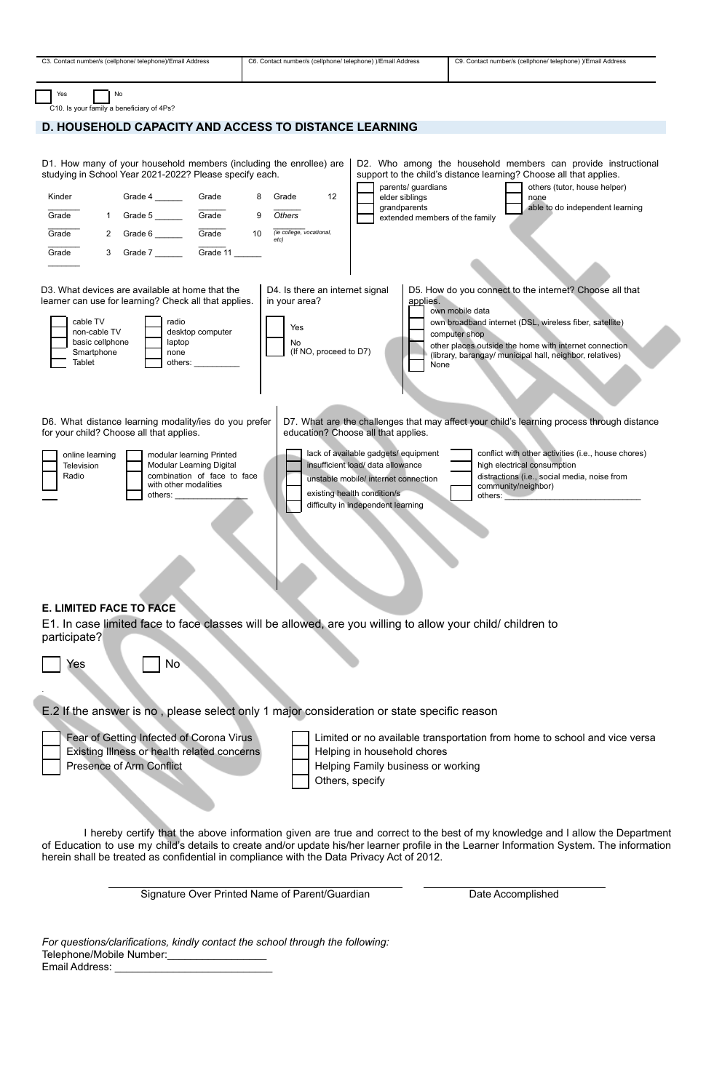| C3. Contact number/s (cellphone/ telephone)/Email Address                                                                                                                                                                              | C6. Contact number/s (cellphone/ telephone) )/Email Address                             |                                                                                                                                                                                        | C9. Contact number/s (cellphone/ telephone) )/Email Address                                                                                                                                                                                                                  |  |  |  |  |
|----------------------------------------------------------------------------------------------------------------------------------------------------------------------------------------------------------------------------------------|-----------------------------------------------------------------------------------------|----------------------------------------------------------------------------------------------------------------------------------------------------------------------------------------|------------------------------------------------------------------------------------------------------------------------------------------------------------------------------------------------------------------------------------------------------------------------------|--|--|--|--|
| Yes<br>No<br>C10. Is your family a beneficiary of 4Ps?                                                                                                                                                                                 |                                                                                         |                                                                                                                                                                                        |                                                                                                                                                                                                                                                                              |  |  |  |  |
| <b>D. HOUSEHOLD CAPACITY AND ACCESS TO DISTANCE LEARNING</b>                                                                                                                                                                           |                                                                                         |                                                                                                                                                                                        |                                                                                                                                                                                                                                                                              |  |  |  |  |
| D1. How many of your household members (including the enrollee) are<br>studying in School Year 2021-2022? Please specify each.<br>Kinder<br>Grade<br>1 Grade 5 Grade<br>Grade<br>Grade<br>$\mathbf{2}$<br>Grade<br>3                   | 12<br>Grade<br>9<br>Others<br>10 <sup>°</sup><br>(ie college, vocational,<br>etc)       | parents/ guardians<br>elder siblings<br>grandparents<br>extended members of the family                                                                                                 | D2. Who among the household members can provide instructional<br>support to the child's distance learning? Choose all that applies.<br>others (tutor, house helper)<br>none<br>able to do independent learning                                                               |  |  |  |  |
| D3. What devices are available at home that the<br>learner can use for learning? Check all that applies.<br>cable TV<br>radio<br>desktop computer<br>non-cable TV<br>basic cellphone<br>laptop<br>Smartphone<br>none<br>Tablet         | D4. Is there an internet signal<br>in your area?<br>Yes<br>No<br>(If NO, proceed to D7) | applies.<br>None                                                                                                                                                                       | D5. How do you connect to the internet? Choose all that<br>own mobile data<br>own broadband internet (DSL, wireless fiber, satellite)<br>computer shop<br>other places outside the home with internet connection<br>(library, barangay/ municipal hall, neighbor, relatives) |  |  |  |  |
| D6. What distance learning modality/ies do you prefer<br>D7. What are the challenges that may affect your child's learning process through distance<br>for your child? Choose all that applies.<br>education? Choose all that applies. |                                                                                         |                                                                                                                                                                                        |                                                                                                                                                                                                                                                                              |  |  |  |  |
| online learning<br>modular learning Printed<br>Modular Learning Digital<br>Television<br>combination of face to face<br>Radio<br>with other modalities<br>others:                                                                      |                                                                                         | lack of available gadgets/ equipment<br>insufficient load/ data allowance<br>unstable mobile/ internet connection<br>existing health condition/s<br>difficulty in independent learning | conflict with other activities (i.e., house chores)<br>high electrical consumption<br>distractions (i.e., social media, noise from<br>community/neighbor)<br>others:                                                                                                         |  |  |  |  |
| <b>E. LIMITED FACE TO FACE</b><br>E1. In case limited face to face classes will be allowed, are you willing to allow your child/ children to<br>participate?                                                                           |                                                                                         |                                                                                                                                                                                        |                                                                                                                                                                                                                                                                              |  |  |  |  |
| N <sub>o</sub><br>Yes                                                                                                                                                                                                                  |                                                                                         |                                                                                                                                                                                        |                                                                                                                                                                                                                                                                              |  |  |  |  |
| E.2 If the answer is no, please select only 1 major consideration or state specific reason                                                                                                                                             |                                                                                         |                                                                                                                                                                                        |                                                                                                                                                                                                                                                                              |  |  |  |  |
| Fear of Getting Infected of Corona Virus<br>Existing Illness or health related concerns<br>Presence of Arm Conflict                                                                                                                    | Others, specify                                                                         | Helping in household chores<br>Helping Family business or working                                                                                                                      | Limited or no available transportation from home to school and vice versa                                                                                                                                                                                                    |  |  |  |  |
| herein shall be treated as confidential in compliance with the Data Privacy Act of 2012.                                                                                                                                               |                                                                                         |                                                                                                                                                                                        | I hereby certify that the above information given are true and correct to the best of my knowledge and I allow the Department<br>of Education to use my child's details to create and/or update his/her learner profile in the Learner Information System. The information   |  |  |  |  |

Signature Over Printed Name of Parent/Guardian Date Accomplished

*For questions/clarifications, kindly contact the school through the following:* Telephone/Mobile Number:\_\_\_\_\_\_\_\_\_\_\_\_\_\_\_\_\_ Email Address: \_\_\_\_\_\_\_\_\_\_\_\_\_\_\_\_\_\_\_\_\_\_\_\_\_\_\_